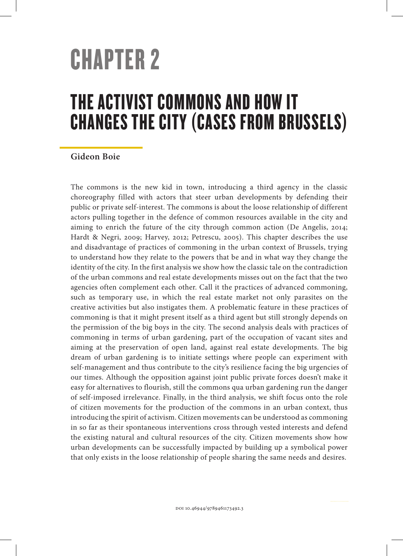# CHAPTER 2

## THE ACTIVIST COMMONS AND HOW IT CHANGES THE CITY (CASES FROM BRUSSELS)

### **Gideon Boie**

The commons is the new kid in town, introducing a third agency in the classic choreography filled with actors that steer urban developments by defending their public or private self-interest. The commons is about the loose relationship of different actors pulling together in the defence of common resources available in the city and aiming to enrich the future of the city through common action (De Angelis, 2014; Hardt & Negri, 2009; Harvey, 2012; Petrescu, 2005). This chapter describes the use and disadvantage of practices of commoning in the urban context of Brussels, trying to understand how they relate to the powers that be and in what way they change the identity of the city. In the first analysis we show how the classic tale on the contradiction of the urban commons and real estate developments misses out on the fact that the two agencies often complement each other. Call it the practices of advanced commoning, such as temporary use, in which the real estate market not only parasites on the creative activities but also instigates them. A problematic feature in these practices of commoning is that it might present itself as a third agent but still strongly depends on the permission of the big boys in the city. The second analysis deals with practices of commoning in terms of urban gardening, part of the occupation of vacant sites and aiming at the preservation of open land, against real estate developments. The big dream of urban gardening is to initiate settings where people can experiment with self-management and thus contribute to the city's resilience facing the big urgencies of our times. Although the opposition against joint public private forces doesn't make it easy for alternatives to flourish, still the commons qua urban gardening run the danger of self-imposed irrelevance. Finally, in the third analysis, we shift focus onto the role of citizen movements for the production of the commons in an urban context, thus introducing the spirit of activism. Citizen movements can be understood as commoning in so far as their spontaneous interventions cross through vested interests and defend the existing natural and cultural resources of the city. Citizen movements show how urban developments can be successfully impacted by building up a symbolical power that only exists in the loose relationship of people sharing the same needs and desires.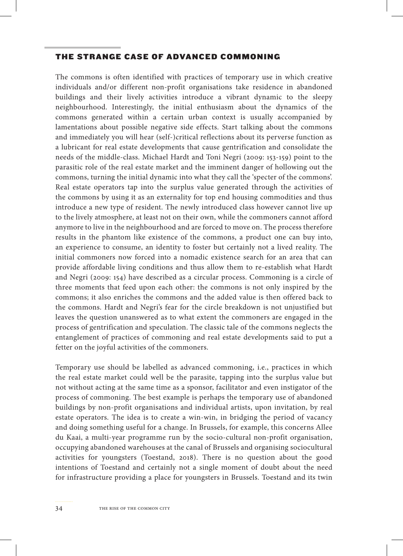#### THE STRANGE CASE OF ADVANCED COMMONING

The commons is often identified with practices of temporary use in which creative individuals and/or different non-profit organisations take residence in abandoned buildings and their lively activities introduce a vibrant dynamic to the sleepy neighbourhood. Interestingly, the initial enthusiasm about the dynamics of the commons generated within a certain urban context is usually accompanied by lamentations about possible negative side effects. Start talking about the commons and immediately you will hear (self-)critical reflections about its perverse function as a lubricant for real estate developments that cause gentrification and consolidate the needs of the middle-class. Michael Hardt and Toni Negri (2009: 153-159) point to the parasitic role of the real estate market and the imminent danger of hollowing out the commons, turning the initial dynamic into what they call the 'specter of the commons'. Real estate operators tap into the surplus value generated through the activities of the commons by using it as an externality for top end housing commodities and thus introduce a new type of resident. The newly introduced class however cannot live up to the lively atmosphere, at least not on their own, while the commoners cannot afford anymore to live in the neighbourhood and are forced to move on. The process therefore results in the phantom like existence of the commons, a product one can buy into, an experience to consume, an identity to foster but certainly not a lived reality. The initial commoners now forced into a nomadic existence search for an area that can provide affordable living conditions and thus allow them to re-establish what Hardt and Negri (2009: 154) have described as a circular process. Commoning is a circle of three moments that feed upon each other: the commons is not only inspired by the commons; it also enriches the commons and the added value is then offered back to the commons. Hardt and Negri's fear for the circle breakdown is not unjustified but leaves the question unanswered as to what extent the commoners are engaged in the process of gentrification and speculation. The classic tale of the commons neglects the entanglement of practices of commoning and real estate developments said to put a fetter on the joyful activities of the commoners.

Temporary use should be labelled as advanced commoning, i.e., practices in which the real estate market could well be the parasite, tapping into the surplus value but not without acting at the same time as a sponsor, facilitator and even instigator of the process of commoning. The best example is perhaps the temporary use of abandoned buildings by non-profit organisations and individual artists, upon invitation, by real estate operators. The idea is to create a win-win, in bridging the period of vacancy and doing something useful for a change. In Brussels, for example, this concerns Allee du Kaai, a multi-year programme run by the socio-cultural non-profit organisation, occupying abandoned warehouses at the canal of Brussels and organising sociocultural activities for youngsters (Toestand, 2018). There is no question about the good intentions of Toestand and certainly not a single moment of doubt about the need for infrastructure providing a place for youngsters in Brussels. Toestand and its twin

34 THE RISE OF THE COMMON CITY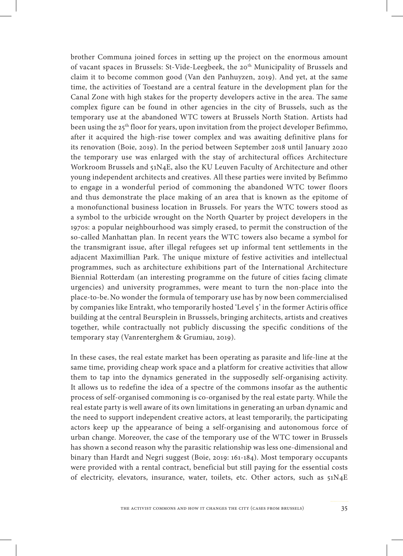brother Communa joined forces in setting up the project on the enormous amount of vacant spaces in Brussels: St-Vide-Leegbeek, the 20<sup>th</sup> Municipality of Brussels and claim it to become common good (Van den Panhuyzen, 2019). And yet, at the same time, the activities of Toestand are a central feature in the development plan for the Canal Zone with high stakes for the property developers active in the area. The same complex figure can be found in other agencies in the city of Brussels, such as the temporary use at the abandoned WTC towers at Brussels North Station. Artists had been using the  $25<sup>th</sup>$  floor for years, upon invitation from the project developer Befimmo, after it acquired the high-rise tower complex and was awaiting definitive plans for its renovation (Boie, 2019). In the period between September 2018 until January 2020 the temporary use was enlarged with the stay of architectural offices Architecture Workroom Brussels and 51N4E, also the KU Leuven Faculty of Architecture and other young independent architects and creatives. All these parties were invited by Befimmo to engage in a wonderful period of commoning the abandoned WTC tower floors and thus demonstrate the place making of an area that is known as the epitome of a monofunctional business location in Brussels. For years the WTC towers stood as a symbol to the urbicide wrought on the North Quarter by project developers in the 1970s: a popular neighbourhood was simply erased, to permit the construction of the so-called Manhattan plan. In recent years the WTC towers also became a symbol for the transmigrant issue, after illegal refugees set up informal tent settlements in the adjacent Maximillian Park. The unique mixture of festive activities and intellectual programmes, such as architecture exhibitions part of the International Architecture Biennial Rotterdam (an interesting programme on the future of cities facing climate urgencies) and university programmes, were meant to turn the non-place into the place-to-be.No wonder the formula of temporary use has by now been commercialised by companies like Entrakt, who temporarily hosted 'Level 5' in the former Actiris office building at the central Beursplein in Brusssels, bringing architects, artists and creatives together, while contractually not publicly discussing the specific conditions of the temporary stay (Vanrenterghem & Grumiau, 2019).

In these cases, the real estate market has been operating as parasite and life-line at the same time, providing cheap work space and a platform for creative activities that allow them to tap into the dynamics generated in the supposedly self-organising activity. It allows us to redefine the idea of a spectre of the commons insofar as the authentic process of self-organised commoning is co-organised by the real estate party. While the real estate party is well aware of its own limitations in generating an urban dynamic and the need to support independent creative actors, at least temporarily, the participating actors keep up the appearance of being a self-organising and autonomous force of urban change. Moreover, the case of the temporary use of the WTC tower in Brussels has shown a second reason why the parasitic relationship was less one-dimensional and binary than Hardt and Negri suggest (Boie, 2019: 161-184). Most temporary occupants were provided with a rental contract, beneficial but still paying for the essential costs of electricity, elevators, insurance, water, toilets, etc. Other actors, such as  $51N4E$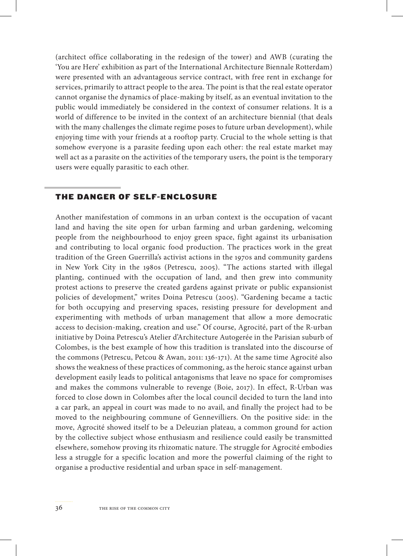(architect office collaborating in the redesign of the tower) and AWB (curating the 'You are Here' exhibition as part of the International Architecture Biennale Rotterdam) were presented with an advantageous service contract, with free rent in exchange for services, primarily to attract people to the area. The point is that the real estate operator cannot organise the dynamics of place-making by itself, as an eventual invitation to the public would immediately be considered in the context of consumer relations. It is a world of difference to be invited in the context of an architecture biennial (that deals with the many challenges the climate regime poses to future urban development), while enjoying time with your friends at a rooftop party. Crucial to the whole setting is that somehow everyone is a parasite feeding upon each other: the real estate market may well act as a parasite on the activities of the temporary users, the point is the temporary users were equally parasitic to each other.

#### THE DANGER OF SELF-ENCLOSURE

Another manifestation of commons in an urban context is the occupation of vacant land and having the site open for urban farming and urban gardening, welcoming people from the neighbourhood to enjoy green space, fight against its urbanisation and contributing to local organic food production. The practices work in the great tradition of the Green Guerrilla's activist actions in the 1970s and community gardens in New York City in the 1980s (Petrescu, 2005). "The actions started with illegal planting, continued with the occupation of land, and then grew into community protest actions to preserve the created gardens against private or public expansionist policies of development," writes Doina Petrescu (2005). "Gardening became a tactic for both occupying and preserving spaces, resisting pressure for development and experimenting with methods of urban management that allow a more democratic access to decision-making, creation and use." Of course, Agrocité, part of the R-urban initiative by Doina Petrescu's Atelier d'Architecture Autogerée in the Parisian suburb of Colombes, is the best example of how this tradition is translated into the discourse of the commons (Petrescu, Petcou & Awan, 2011: 136-171). At the same time Agrocité also shows the weakness of these practices of commoning, as the heroic stance against urban development easily leads to political antagonisms that leave no space for compromises and makes the commons vulnerable to revenge (Boie, 2017). In effect, R-Urban was forced to close down in Colombes after the local council decided to turn the land into a car park, an appeal in court was made to no avail, and finally the project had to be moved to the neighbouring commune of Gennevilliers. On the positive side: in the move, Agrocité showed itself to be a Deleuzian plateau, a common ground for action by the collective subject whose enthusiasm and resilience could easily be transmitted elsewhere, somehow proving its rhizomatic nature. The struggle for Agrocité embodies less a struggle for a specific location and more the powerful claiming of the right to organise a productive residential and urban space in self-management.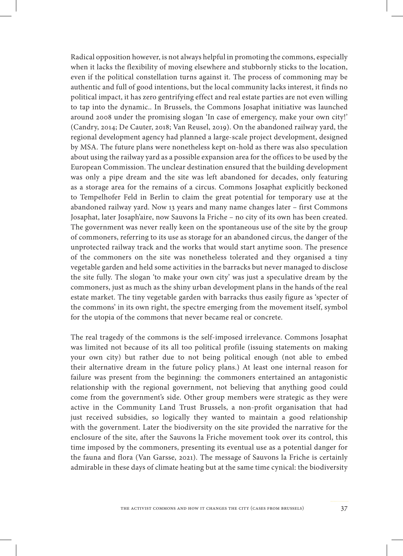Radical opposition however, is not always helpful in promoting the commons, especially when it lacks the flexibility of moving elsewhere and stubbornly sticks to the location, even if the political constellation turns against it. The process of commoning may be authentic and full of good intentions, but the local community lacks interest, it finds no political impact, it has zero gentrifying effect and real estate parties are not even willing to tap into the dynamic.. In Brussels, the Commons Josaphat initiative was launched around 2008 under the promising slogan 'In case of emergency, make your own city!' (Candry, 2014; De Cauter, 2018; Van Reusel, 2019). On the abandoned railway yard, the regional development agency had planned a large-scale project development, designed by MSA. The future plans were nonetheless kept on-hold as there was also speculation about using the railway yard as a possible expansion area for the offices to be used by the European Commission. The unclear destination ensured that the building development was only a pipe dream and the site was left abandoned for decades, only featuring as a storage area for the remains of a circus. Commons Josaphat explicitly beckoned to Tempelhofer Feld in Berlin to claim the great potential for temporary use at the abandoned railway yard. Now 13 years and many name changes later – first Commons Josaphat, later Josaph'aire, now Sauvons la Friche – no city of its own has been created. The government was never really keen on the spontaneous use of the site by the group of commoners, referring to its use as storage for an abandoned circus, the danger of the unprotected railway track and the works that would start anytime soon. The presence of the commoners on the site was nonetheless tolerated and they organised a tiny vegetable garden and held some activities in the barracks but never managed to disclose the site fully. The slogan 'to make your own city' was just a speculative dream by the commoners, just as much as the shiny urban development plans in the hands of the real estate market. The tiny vegetable garden with barracks thus easily figure as 'specter of the commons' in its own right, the spectre emerging from the movement itself, symbol for the utopia of the commons that never became real or concrete.

The real tragedy of the commons is the self-imposed irrelevance. Commons Josaphat was limited not because of its all too political profile (issuing statements on making your own city) but rather due to not being political enough (not able to embed their alternative dream in the future policy plans.) At least one internal reason for failure was present from the beginning: the commoners entertained an antagonistic relationship with the regional government, not believing that anything good could come from the government's side. Other group members were strategic as they were active in the Community Land Trust Brussels, a non-profit organisation that had just received subsidies, so logically they wanted to maintain a good relationship with the government. Later the biodiversity on the site provided the narrative for the enclosure of the site, after the Sauvons la Friche movement took over its control, this time imposed by the commoners, presenting its eventual use as a potential danger for the fauna and flora (Van Garsse, 2021). The message of Sauvons la Friche is certainly admirable in these days of climate heating but at the same time cynical: the biodiversity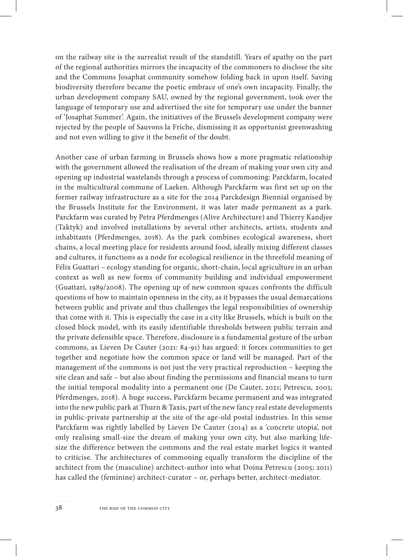on the railway site is the surrealist result of the standstill. Years of apathy on the part of the regional authorities mirrors the incapacity of the commoners to disclose the site and the Commons Josaphat community somehow folding back in upon itself. Saving biodiversity therefore became the poetic embrace of one's own incapacity. Finally, the urban development company SAU, owned by the regional government, took over the language of temporary use and advertised the site for temporary use under the banner of 'Josaphat Summer'. Again, the initiatives of the Brussels development company were rejected by the people of Sauvons la Friche, dismissing it as opportunist greenwashing and not even willing to give it the benefit of the doubt.

Another case of urban farming in Brussels shows how a more pragmatic relationship with the government allowed the realisation of the dream of making your own city and opening up industrial wastelands through a process of commoning: Parckfarm, located in the multicultural commune of Laeken. Although Parckfarm was first set up on the former railway infrastructure as a site for the 2014 Parckdesign Biennial organised by the Brussels Institute for the Environment, it was later made permanent as a park. Parckfarm was curated by Petra Pferdmenges (Alive Architecture) and Thierry Kandjee (Taktyk) and involved installations by several other architects, artists, students and inhabitants (Pferdmenges, 2018). As the park combines ecological awareness, short chains, a local meeting place for residents around food, ideally mixing different classes and cultures, it functions as a node for ecological resilience in the threefold meaning of Félix Guattari – ecology standing for organic, short-chain, local agriculture in an urban context as well as new forms of community building and individual empowerment (Guattari, 1989/2008). The opening up of new common spaces confronts the difficult questions of how to maintain openness in the city, as it bypasses the usual demarcations between public and private and thus challenges the legal responsibilities of ownership that come with it. This is especially the case in a city like Brussels, which is built on the closed block model, with its easily identifiable thresholds between public terrain and the private defensible space. Therefore, disclosure is a fundamental gesture of the urban commons, as Lieven De Cauter (2021: 84-91) has argued: it forces communities to get together and negotiate how the common space or land will be managed. Part of the management of the commons is not just the very practical reproduction – keeping the site clean and safe – but also about finding the permissions and financial means to turn the initial temporal modality into a permanent one (De Cauter, 2021; Petrescu, 2005; Pferdmenges, 2018). A huge success, Parckfarm became permanent and was integrated into the new public park at Thurn & Taxis, part of the new fancy real estate developments in public-private partnership at the site of the age-old postal industries. In this sense Parckfarm was rightly labelled by Lieven De Cauter (2014) as a 'concrete utopia', not only realising small-size the dream of making your own city, but also marking lifesize the difference between the commons and the real estate market logics it wanted to criticise. The architectures of commoning equally transform the discipline of the architect from the (masculine) architect-author into what Doina Petrescu (2005; 2011) has called the (feminine) architect-curator – or, perhaps better, architect-mediator.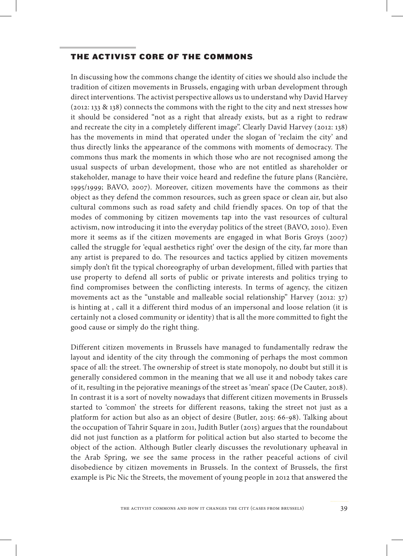#### THE ACTIVIST CORE OF THE COMMONS

In discussing how the commons change the identity of cities we should also include the tradition of citizen movements in Brussels, engaging with urban development through direct interventions. The activist perspective allows us to understand why David Harvey (2012: 133 & 138) connects the commons with the right to the city and next stresses how it should be considered "not as a right that already exists, but as a right to redraw and recreate the city in a completely different image". Clearly David Harvey (2012: 138) has the movements in mind that operated under the slogan of 'reclaim the city' and thus directly links the appearance of the commons with moments of democracy. The commons thus mark the moments in which those who are not recognised among the usual suspects of urban development, those who are not entitled as shareholder or stakeholder, manage to have their voice heard and redefine the future plans (Rancière, 1995/1999; BAVO, 2007). Moreover, citizen movements have the commons as their object as they defend the common resources, such as green space or clean air, but also cultural commons such as road safety and child friendly spaces. On top of that the modes of commoning by citizen movements tap into the vast resources of cultural activism, now introducing it into the everyday politics of the street (BAVO, 2010). Even more it seems as if the citizen movements are engaged in what Boris Groys (2007) called the struggle for 'equal aesthetics right' over the design of the city, far more than any artist is prepared to do. The resources and tactics applied by citizen movements simply don't fit the typical choreography of urban development, filled with parties that use property to defend all sorts of public or private interests and politics trying to find compromises between the conflicting interests. In terms of agency, the citizen movements act as the "unstable and malleable social relationship" Harvey (2012: 37) is hinting at , call it a different third modus of an impersonal and loose relation (it is certainly not a closed community or identity) that is all the more committed to fight the good cause or simply do the right thing.

Different citizen movements in Brussels have managed to fundamentally redraw the layout and identity of the city through the commoning of perhaps the most common space of all: the street. The ownership of street is state monopoly, no doubt but still it is generally considered common in the meaning that we all use it and nobody takes care of it, resulting in the pejorative meanings of the street as 'mean' space (De Cauter, 2018). In contrast it is a sort of novelty nowadays that different citizen movements in Brussels started to 'common' the streets for different reasons, taking the street not just as a platform for action but also as an object of desire (Butler, 2015: 66-98). Talking about the occupation of Tahrir Square in 2011, Judith Butler (2015) argues that the roundabout did not just function as a platform for political action but also started to become the object of the action. Although Butler clearly discusses the revolutionary upheaval in the Arab Spring, we see the same process in the rather peaceful actions of civil disobedience by citizen movements in Brussels. In the context of Brussels, the first example is Pic Nic the Streets, the movement of young people in 2012 that answered the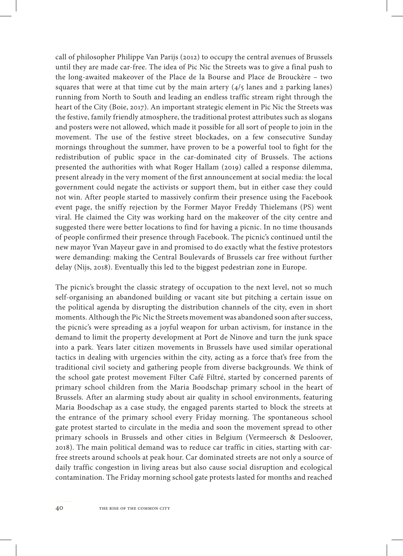call of philosopher Philippe Van Parijs (2012) to occupy the central avenues of Brussels until they are made car-free. The idea of Pic Nic the Streets was to give a final push to the long-awaited makeover of the Place de la Bourse and Place de Brouckère – two squares that were at that time cut by the main artery  $(4/5)$  lanes and 2 parking lanes) running from North to South and leading an endless traffic stream right through the heart of the City (Boie, 2017). An important strategic element in Pic Nic the Streets was the festive, family friendly atmosphere, the traditional protest attributes such as slogans and posters were not allowed, which made it possible for all sort of people to join in the movement. The use of the festive street blockades, on a few consecutive Sunday mornings throughout the summer, have proven to be a powerful tool to fight for the redistribution of public space in the car-dominated city of Brussels. The actions presented the authorities with what Roger Hallam (2019) called a response dilemma, present already in the very moment of the first announcement at social media: the local government could negate the activists or support them, but in either case they could not win. After people started to massively confirm their presence using the Facebook event page, the sniffy rejection by the Former Mayor Freddy Thielemans (PS) went viral. He claimed the City was working hard on the makeover of the city centre and suggested there were better locations to find for having a picnic. In no time thousands of people confirmed their presence through Facebook. The picnic's continued until the new mayor Yvan Mayeur gave in and promised to do exactly what the festive protestors were demanding: making the Central Boulevards of Brussels car free without further delay (Nijs, 2018). Eventually this led to the biggest pedestrian zone in Europe.

The picnic's brought the classic strategy of occupation to the next level, not so much self-organising an abandoned building or vacant site but pitching a certain issue on the political agenda by disrupting the distribution channels of the city, even in short moments. Although the Pic Nic the Streets movement was abandoned soon after success, the picnic's were spreading as a joyful weapon for urban activism, for instance in the demand to limit the property development at Port de Ninove and turn the junk space into a park. Years later citizen movements in Brussels have used similar operational tactics in dealing with urgencies within the city, acting as a force that's free from the traditional civil society and gathering people from diverse backgrounds. We think of the school gate protest movement Filter Café Filtré, started by concerned parents of primary school children from the Maria Boodschap primary school in the heart of Brussels. After an alarming study about air quality in school environments, featuring Maria Boodschap as a case study, the engaged parents started to block the streets at the entrance of the primary school every Friday morning. The spontaneous school gate protest started to circulate in the media and soon the movement spread to other primary schools in Brussels and other cities in Belgium (Vermeersch & Desloover, 2018). The main political demand was to reduce car traffic in cities, starting with carfree streets around schools at peak hour. Car dominated streets are not only a source of daily traffic congestion in living areas but also cause social disruption and ecological contamination. The Friday morning school gate protests lasted for months and reached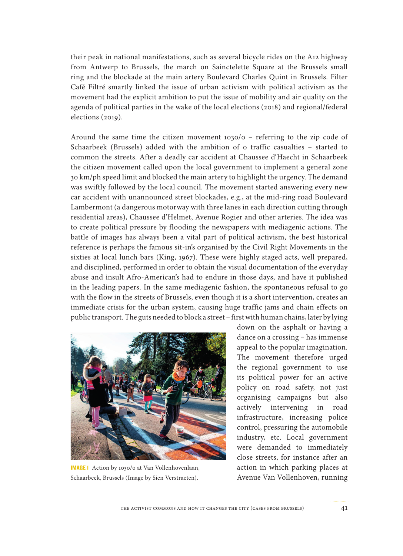their peak in national manifestations, such as several bicycle rides on the A12 highway from Antwerp to Brussels, the march on Sainctelette Square at the Brussels small ring and the blockade at the main artery Boulevard Charles Quint in Brussels. Filter Café Filtré smartly linked the issue of urban activism with political activism as the movement had the explicit ambition to put the issue of mobility and air quality on the agenda of political parties in the wake of the local elections (2018) and regional/federal elections (2019).

Around the same time the citizen movement 1030/0 – referring to the zip code of Schaarbeek (Brussels) added with the ambition of 0 traffic casualties - started to common the streets. After a deadly car accident at Chaussee d'Haecht in Schaarbeek the citizen movement called upon the local government to implement a general zone 30 km/ph speed limit and blocked the main artery to highlight the urgency. The demand was swiftly followed by the local council. The movement started answering every new car accident with unannounced street blockades, e.g., at the mid-ring road Boulevard Lambermont (a dangerous motorway with three lanes in each direction cutting through residential areas), Chaussee d'Helmet, Avenue Rogier and other arteries. The idea was to create political pressure by flooding the newspapers with mediagenic actions. The battle of images has always been a vital part of political activism, the best historical reference is perhaps the famous sit-in's organised by the Civil Right Movements in the sixties at local lunch bars (King, 1967). These were highly staged acts, well prepared, and disciplined, performed in order to obtain the visual documentation of the everyday abuse and insult Afro-American's had to endure in those days, and have it published in the leading papers. In the same mediagenic fashion, the spontaneous refusal to go with the flow in the streets of Brussels, even though it is a short intervention, creates an immediate crisis for the urban system, causing huge traffic jams and chain effects on public transport. The guts needed to block a street – first with human chains, later by lying



IMAGE 1 Action by 1030/0 at Van Vollenhovenlaan, Schaarbeek, Brussels (Image by Sien Verstraeten).

down on the asphalt or having a dance on a crossing – has immense appeal to the popular imagination. The movement therefore urged the regional government to use its political power for an active policy on road safety, not just organising campaigns but also actively intervening in road infrastructure, increasing police control, pressuring the automobile industry, etc. Local government were demanded to immediately close streets, for instance after an action in which parking places at Avenue Van Vollenhoven, running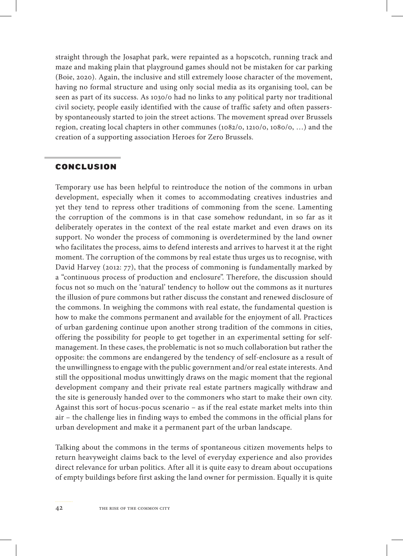straight through the Josaphat park, were repainted as a hopscotch, running track and maze and making plain that playground games should not be mistaken for car parking (Boie, 2020). Again, the inclusive and still extremely loose character of the movement, having no formal structure and using only social media as its organising tool, can be seen as part of its success. As 1030/0 had no links to any political party nor traditional civil society, people easily identified with the cause of traffic safety and often passersby spontaneously started to join the street actions. The movement spread over Brussels region, creating local chapters in other communes (1082/0, 1210/0, 1080/0, …) and the creation of a supporting association Heroes for Zero Brussels.

#### CONCLUSION

Temporary use has been helpful to reintroduce the notion of the commons in urban development, especially when it comes to accommodating creatives industries and yet they tend to repress other traditions of commoning from the scene. Lamenting the corruption of the commons is in that case somehow redundant, in so far as it deliberately operates in the context of the real estate market and even draws on its support. No wonder the process of commoning is overdetermined by the land owner who facilitates the process, aims to defend interests and arrives to harvest it at the right moment. The corruption of the commons by real estate thus urges us to recognise, with David Harvey (2012: 77), that the process of commoning is fundamentally marked by a "continuous process of production and enclosure". Therefore, the discussion should focus not so much on the 'natural' tendency to hollow out the commons as it nurtures the illusion of pure commons but rather discuss the constant and renewed disclosure of the commons. In weighing the commons with real estate, the fundamental question is how to make the commons permanent and available for the enjoyment of all. Practices of urban gardening continue upon another strong tradition of the commons in cities, offering the possibility for people to get together in an experimental setting for selfmanagement. In these cases, the problematic is not so much collaboration but rather the opposite: the commons are endangered by the tendency of self-enclosure as a result of the unwillingness to engage with the public government and/or real estate interests. And still the oppositional modus unwittingly draws on the magic moment that the regional development company and their private real estate partners magically withdraw and the site is generously handed over to the commoners who start to make their own city. Against this sort of hocus-pocus scenario – as if the real estate market melts into thin air – the challenge lies in finding ways to embed the commons in the official plans for urban development and make it a permanent part of the urban landscape.

Talking about the commons in the terms of spontaneous citizen movements helps to return heavyweight claims back to the level of everyday experience and also provides direct relevance for urban politics. After all it is quite easy to dream about occupations of empty buildings before first asking the land owner for permission. Equally it is quite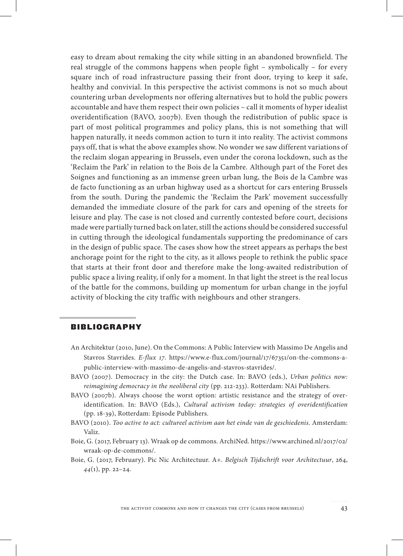easy to dream about remaking the city while sitting in an abandoned brownfield. The real struggle of the commons happens when people fight – symbolically – for every square inch of road infrastructure passing their front door, trying to keep it safe, healthy and convivial. In this perspective the activist commons is not so much about countering urban developments nor offering alternatives but to hold the public powers accountable and have them respect their own policies – call it moments of hyper idealist overidentification (BAVO, 2007b). Even though the redistribution of public space is part of most political programmes and policy plans, this is not something that will happen naturally, it needs common action to turn it into reality. The activist commons pays off, that is what the above examples show. No wonder we saw different variations of the reclaim slogan appearing in Brussels, even under the corona lockdown, such as the 'Reclaim the Park' in relation to the Bois de la Cambre. Although part of the Foret des Soignes and functioning as an immense green urban lung, the Bois de la Cambre was de facto functioning as an urban highway used as a shortcut for cars entering Brussels from the south. During the pandemic the 'Reclaim the Park' movement successfully demanded the immediate closure of the park for cars and opening of the streets for leisure and play. The case is not closed and currently contested before court, decisions made were partially turned back on later, still the actions should be considered successful in cutting through the ideological fundamentals supporting the predominance of cars in the design of public space. The cases show how the street appears as perhaps the best anchorage point for the right to the city, as it allows people to rethink the public space that starts at their front door and therefore make the long-awaited redistribution of public space a living reality, if only for a moment. In that light the street is the real locus of the battle for the commons, building up momentum for urban change in the joyful activity of blocking the city traffic with neighbours and other strangers.

#### BIBLIOGRAPHY

- An Architektur (2010, June). On the Commons: A Public Interview with Massimo De Angelis and Stavros Stavrides. *E-flux 17*. https://www.e-flux.com/journal/17/67351/on-the-commons-apublic-interview-with-massimo-de-angelis-and-stavros-stavrides/.
- BAVO (2007). Democracy in the city: the Dutch case. In: BAVO (eds.), *Urban politics now: reimagining democracy in the neoliberal city* (pp. 212-233). Rotterdam: NAi Publishers.
- BAVO (2007b). Always choose the worst option: artistic resistance and the strategy of overidentification. In: BAVO (Eds.), *Cultural activism today: strategies of overidentification* (pp. 18-39), Rotterdam: Episode Publishers.
- BAVO (2010). *Too active to act: cultureel activism aan het einde van de geschiedenis*. Amsterdam: Valiz.
- Boie, G. (2017, February 13). Wraak op de commons. ArchiNed. https://www.archined.nl/2017/02/ wraak-op-de-commons/.
- Boie, G. (2017, February). Pic Nic Architectuur. A+. *Belgisch Tijdschrift voor Architectuur*, 264, *44*(1), pp. 22–24.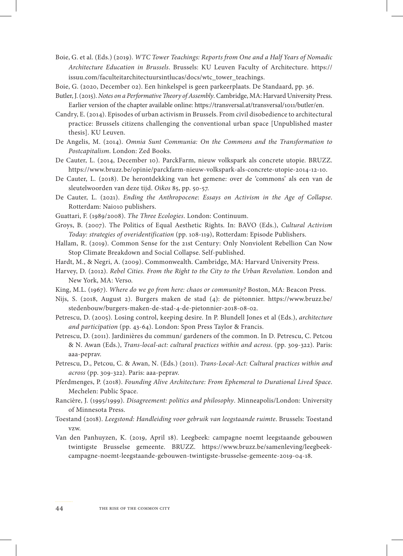- Boie, G. et al. (Eds.) (2019). *WTC Tower Teachings: Reports from One and a Half Years of Nomadic Architecture Education in Brussels*. Brussels: KU Leuven Faculty of Architecture. https:// issuu.com/faculteitarchitectuursintlucas/docs/wtc\_tower\_teachings.
- Boie, G. (2020, December 02). Een hinkelspel is geen parkeerplaats. De Standaard, pp. 36.
- Butler, J. (2015). *Notes on a Performative Theory of Assembly*. Cambridge, MA: Harvard University Press. Earlier version of the chapter available online: https://transversal.at/transversal/1011/butler/en.
- Candry, E. (2014). Episodes of urban activism in Brussels. From civil disobedience to architectural practice: Brussels citizens challenging the conventional urban space [Unpublished master thesis]. KU Leuven.
- De Angelis, M. (2014). *Omnia Sunt Communia: On the Commons and the Transformation to Postcapitalism*. London: Zed Books.
- De Cauter, L. (2014, December 10). ParckFarm, nieuw volkspark als concrete utopie. BRUZZ. https://www.bruzz.be/opinie/parckfarm-nieuw-volkspark-als-concrete-utopie-2014-12-10.
- De Cauter, L. (2018). De herontdekking van het gemene: over de 'commons' als een van de sleutelwoorden van deze tijd. *Oikos* 85, pp. 50-57.
- De Cauter, L. (2021). *Ending the Anthropocene*: *Essays on Activism in the Age of Collapse*. Rotterdam: Nai010 publishers.
- Guattari, F. (1989/2008). *The Three Ecologies*. London: Continuum.
- Groys, B. (2007). The Politics of Equal Aesthetic Rights. In: BAVO (Eds.), *Cultural Activism Today: strategies of overidentification* (pp. 108-119), Rotterdam: Episode Publishers.
- Hallam, R. (2019). Common Sense for the 21st Century: Only Nonviolent Rebellion Can Now Stop Climate Breakdown and Social Collapse. Self-published.
- Hardt, M., & Negri, A. (2009). Commonwealth. Cambridge, MA: Harvard University Press.
- Harvey, D. (2012). *Rebel Cities. From the Right to the City to the Urban Revolution*. London and New York, MA: Verso.
- King, M.L. (1967). *Where do we go from here: chaos or community?* Boston, MA: Beacon Press.
- Nijs, S. (2018, August 2). Burgers maken de stad (4): de piétonnier. https://www.bruzz.be/ stedenbouw/burgers-maken-de-stad-4-de-pietonnier-2018-08-02.
- Petrescu, D. (2005). Losing control, keeping desire. In P. Blundell Jones et al (Eds.), *architecture and participation* (pp. 43-64). London: Spon Press Taylor & Francis.
- Petrescu, D. (2011). Jardinières du commun/ gardeners of the common. In D. Petrescu, C. Petcou & N. Awan (Eds.), *Trans-local-act: cultural practices within and across*. (pp. 309-322). Paris: aaa-peprav.
- Petrescu, D., Petcou, C. & Awan, N. (Eds.) (2011). *Trans-Local-Act: Cultural practices within and across* (pp. 309-322). Paris: aaa-peprav.
- Pferdmenges, P. (2018). *Founding Alive Architecture: From Ephemeral to Durational Lived Space*. Mechelen: Public Space.
- Rancière, J. (1995/1999). *Disagreement: politics and philosophy*. Minneapolis/London: University of Minnesota Press.
- Toestand (2018). *Leegstond: Handleiding voor gebruik van leegstaande ruimte*. Brussels: Toestand vzw.
- Van den Panhuyzen, K. (2019, April 18). Leegbeek: campagne noemt leegstaande gebouwen twintigste Brusselse gemeente. BRUZZ. https://www.bruzz.be/samenleving/leegbeekcampagne-noemt-leegstaande-gebouwen-twintigste-brusselse-gemeente-2019-04-18.

44 THE RISE OF THE COMMON CITY